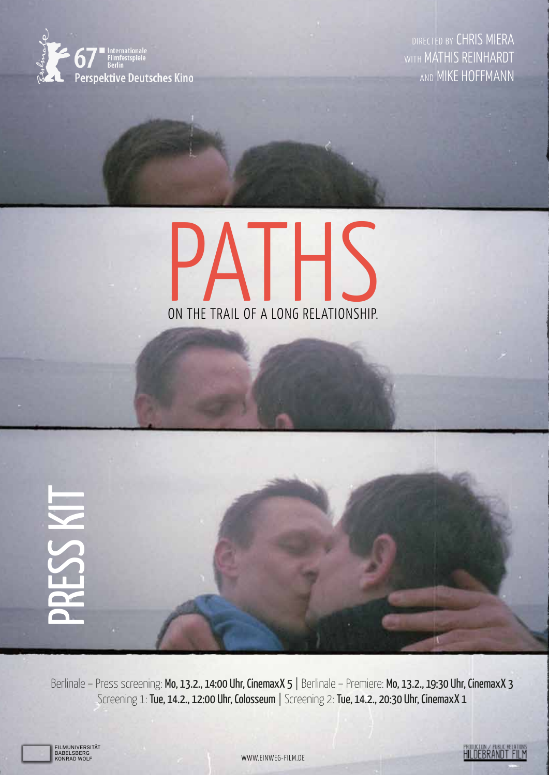

DIRECTED BY CHRIS MIERA WITH MATHIS REINHARDT AND MIKE HOFFMANN



PRESS KIT

Berlinale – Press screening: Mo, 13.2., 14:00 Uhr, CinemaxX 5 | Berlinale – Premiere: Mo, 13.2., 19:30 Uhr, CinemaxX 3 Screening 1: Tue, 14.2., 12:00 Uhr, Colosseum | Screening 2: Tue, 14.2., 20:30 Uhr, CinemaxX 1

FILMUNIVERSItät BABELSBERG koNRAd woLF

WWW.EINWEG-FILM.DE

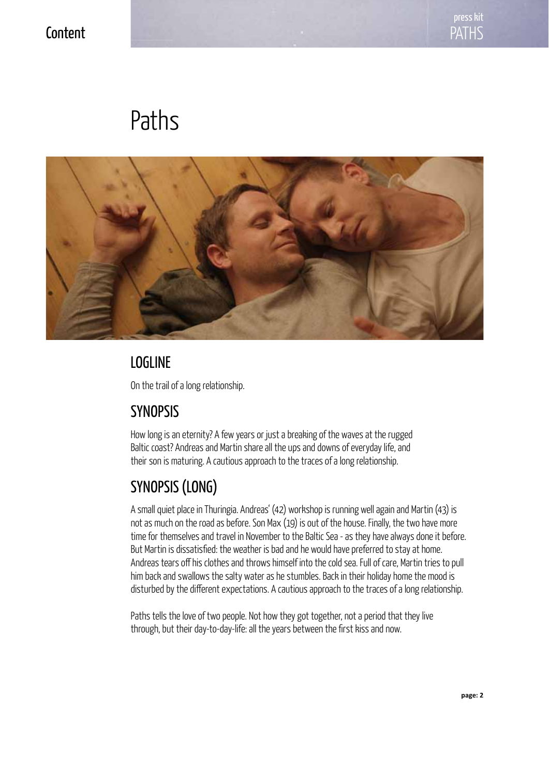### **Content**

# Paths



## **LOGLINE**

On the trail of a long relationship.

## **SYNOPSIS**

How long is an eternity? A few years or just a breaking of the waves at the rugged Baltic coast? Andreas and Martin share all the ups and downs of everyday life, and their son is maturing. A cautious approach to the traces of a long relationship.

# Synopsis (LONG)

A small quiet place in Thuringia. Andreas' (42) workshop is running well again and Martin (43) is not as much on the road as before. Son Max (19) is out of the house. Finally, the two have more time for themselves and travel in November to the Baltic Sea - as they have always done it before. But Martin is dissatisfied: the weather is bad and he would have preferred to stay at home. Andreas tears off his clothes and throws himself into the cold sea. Full of care, Martin tries to pull him back and swallows the salty water as he stumbles. Back in their holiday home the mood is disturbed by the different expectations. A cautious approach to the traces of a long relationship.

Paths tells the love of two people. Not how they got together, not a period that they live through, but their day-to-day-life: all the years between the first kiss and now.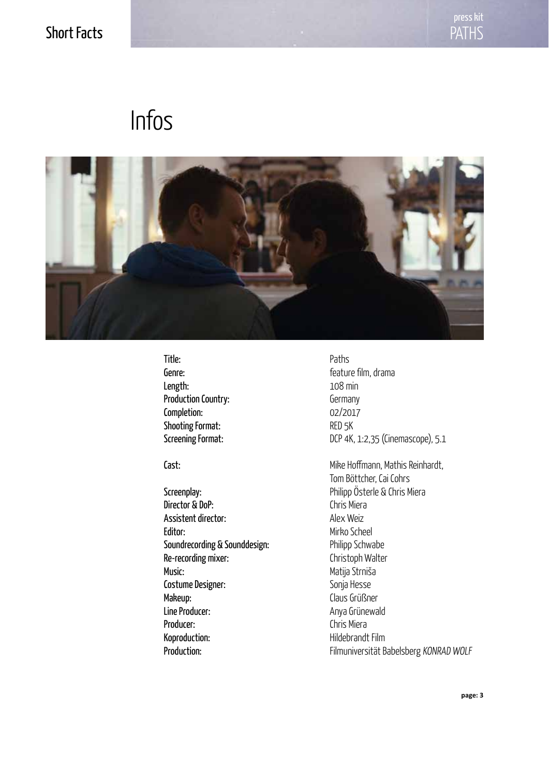### Short Facts

# Infos



Title: Paths Length: 108 min Production Country: Germany Completion: 02/2017 Shooting Format: RED 5K

**Director & DoP:** Chris Miera Assistent director: Alex Weiz Editor: Mirko Scheel Soundrecording & Sounddesign: Philipp Schwabe Re-recording mixer: Christoph Walter Music: Music: Matija Strniša Costume Designer: Sonja Hesse Makeup: Claus Grüßner Line Producer: Anya Grünewald Producer: Chris Miera Koproduction: Hildebrandt Film

Genre: **film**, drama Screening Format: DCP 4K, 1:2,35 (Cinemascope), 5.1

Cast: Cast: Cast: Mike Hoffmann, Mathis Reinhardt, Tom Böttcher, Cai Cohrs Screenplay: Creenplay: Creenplay: Philipp Österle & Chris Miera Production: Filmuniversität Babelsberg KONRAD WOLF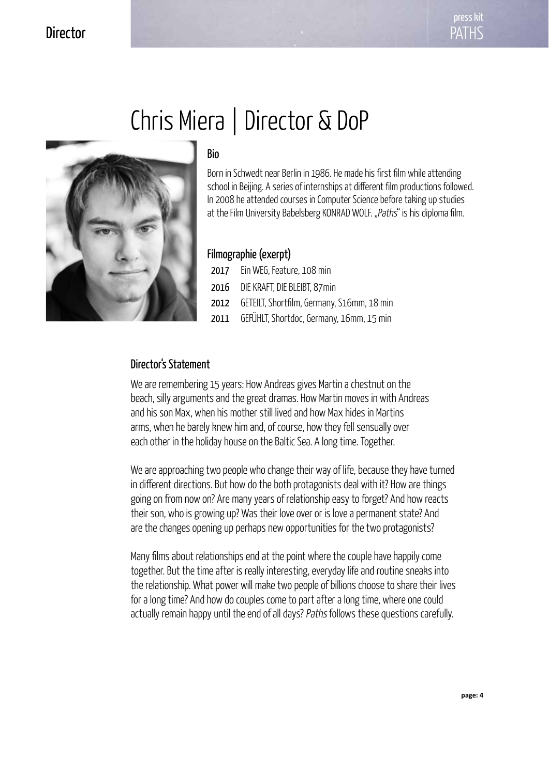#### **Director**



Bio

Born in Schwedt near Berlin in 1986. He made his first film while attending school in Beijing. A series of internships at different film productions followed. In 2008 he attended courses in Computer Science before taking up studies at the Film University Babelsberg KONRAD WOLF. "Paths" is his diploma film.

#### Filmographie (exerpt)

| Filmographie (exerpt) |                                            |
|-----------------------|--------------------------------------------|
|                       | 2017 Ein WEG, Feature, 108 min             |
| 2016                  | DIE KRAFT, DIE BLEIBT, 87min               |
| 2012                  | GETEILT, Shortfilm, Germany, S16mm, 18 min |
| 2011                  | GEFÜHLT, Shortdoc, Germany, 16mm, 15 min   |
|                       |                                            |
|                       |                                            |

#### Director's Statement

We are remembering 15 years: How Andreas gives Martin a chestnut on the beach, silly arguments and the great dramas. How Martin moves in with Andreas and his son Max, when his mother still lived and how Max hides in Martins arms, when he barely knew him and, of course, how they fell sensually over each other in the holiday house on the Baltic Sea. A long time. Together.

We are approaching two people who change their way of life, because they have turned in different directions. But how do the both protagonists deal with it? How are things going on from now on? Are many years of relationship easy to forget? And how reacts their son, who is growing up? Was their love over or is love a permanent state? And are the changes opening up perhaps new opportunities for the two protagonists?

Many films about relationships end at the point where the couple have happily come together. But the time after is really interesting, everyday life and routine sneaks into the relationship. What power will make two people of billions choose to share their lives for a long time? And how do couples come to part after a long time, where one could actually remain happy until the end of all days? Paths follows these questions carefully.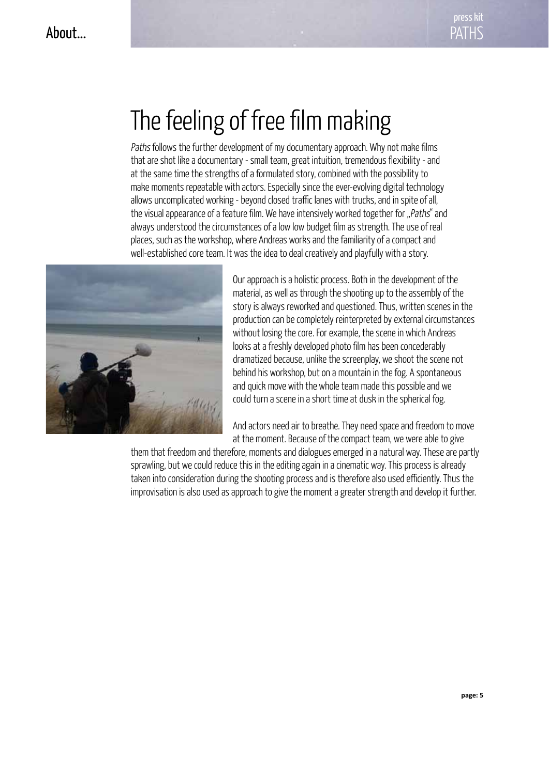# The feeling of free film making

Paths follows the further development of my documentary approach. Why not make films that are shot like a documentary - small team, great intuition, tremendous flexibility - and at the same time the strengths of a formulated story, combined with the possibility to make moments repeatable with actors. Especially since the ever-evolving digital technology allows uncomplicated working - beyond closed traffic lanes with trucks, and in spite of all, the visual appearance of a feature film. We have intensively worked together for "Paths" and always understood the circumstances of a low low budget film as strength. The use of real places, such as the workshop, where Andreas works and the familiarity of a compact and well-established core team. It was the idea to deal creatively and playfully with a story.



places, such as the workshop, where Andreas works and the familiarity of a comp<br>well-established core team. It was the idea to deal creatively and playfully with a<br>Our approach is a holistic process. Both in the devel<br>mate AUF DEN SPUREN EINER LANGEN BEZIEHUNG.<br>Iooks at a freshly developed photo film has been concederably Our approach is a holistic process. Both in the development of the material, as well as through the shooting up to the assembly of the story is always reworked and questioned. Thus, written scenes in the production can be completely reinterpreted by external circumstances without losing the core. For example, the scene in which Andreas dramatized because, unlike the screenplay, we shoot the scene not behind his workshop, but on a mountain in the fog. A spontaneous and quick move with the whole team made this possible and we could turn a scene in a short time at dusk in the spherical fog.

> And actors need air to breathe. They need space and freedom to move at the moment. Because of the compact team, we were able to give

them that freedom and therefore, moments and dialogues emerged in a natural way. These are partly sprawling, but we could reduce this in the editing again in a cinematic way. This process is already taken into consideration during the shooting process and is therefore also used efficiently. Thus the improvisation is also used as approach to give the moment a greater strength and develop it further.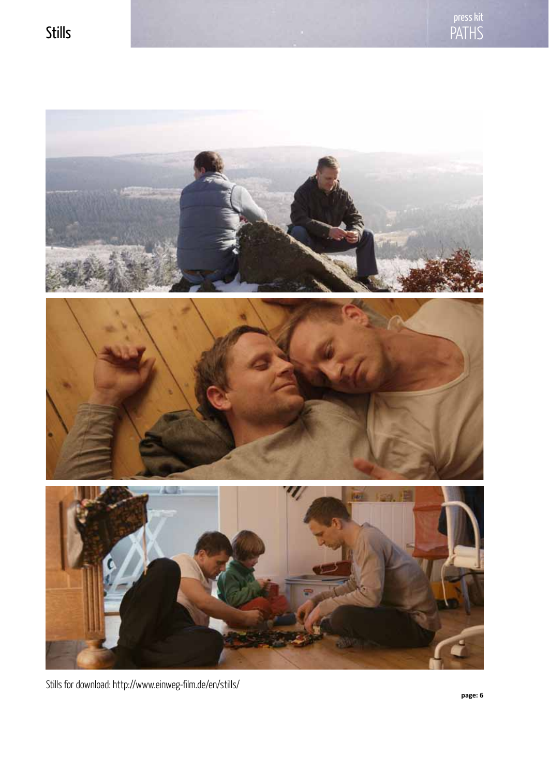

Stills for download: http://www.einweg-film.de/en/stills/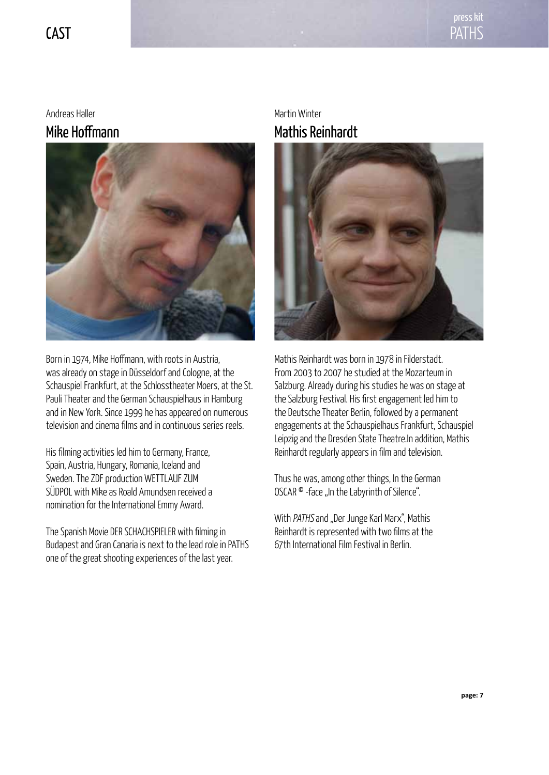

#### Andreas Haller Mike Hoffmann



Born in 1974, Mike Hoffmann, with roots in Austria, was already on stage in Düsseldorf and Cologne, at the Schauspiel Frankfurt, at the Schlosstheater Moers, at the St. Pauli Theater and the German Schauspielhaus in Hamburg and in New York. Since 1999 he has appeared on numerous television and cinema films and in continuous series reels.

His filming activities led him to Germany, France, Spain, Austria, Hungary, Romania, Iceland and Sweden. The ZDF production WETTLAUF ZUM SÜDPOL with Mike as Roald Amundsen received a nomination for the International Emmy Award.

The Spanish Movie DER SCHACHSPIELER with filming in Budapest and Gran Canaria is next to the lead role in PATHS one of the great shooting experiences of the last year.

#### Martin Winter Mathis Reinhardt



Mathis Reinhardt was born in 1978 in Filderstadt. From 2003 to 2007 he studied at the Mozarteum in Salzburg. Already during his studies he was on stage at the Salzburg Festival. His first engagement led him to the Deutsche Theater Berlin, followed by a permanent engagements at the Schauspielhaus Frankfurt, Schauspiel Leipzig and the Dresden State Theatre.In addition, Mathis Reinhardt regularly appears in film and television.

Thus he was, among other things, In the German OSCAR ® -face "In the Labyrinth of Silence".

With PATHS and "Der Junge Karl Marx", Mathis Reinhardt is represented with two films at the 67th International Film Festival in Berlin.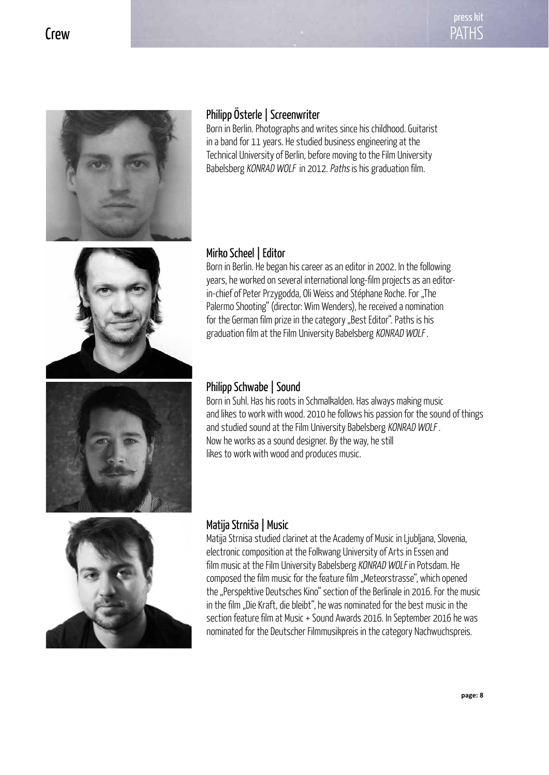

#### Philipp Österle | Screenwriter

Born in Berlin. Photographs and writes since his childhood. Guitarist in a band for 11 years. He studied business engineering at the Technical University of Berlin, before moving to the Film University Babelsberg KONRAD WOLF in 2012. Paths is his graduation film.

Born in Berlin. He began his career as an editor in 2002. In the following years, he worked on several international long-film projects as an editorin-chief of Peter Przygodda, Oli Weiss and Stéphane Roche. For "The Palermo Shooting" (director: Wim Wenders), he received a nomination for the German film prize in the category "Best Editor". Paths is his





Mirko Scheel | Editor

Philipp Schwabe | Sound Born in Suhl. Has his roots in Schmalkalden. Has always making music and likes to work with wood. 2010 he follows his passion for the sound of things and studied sound at the Film University Babelsberg KONRAD WOLF. Now he works as a sound designer. By the way, he still likes to work with wood and produces music.



#### Matija Strniša | Music

Matija Strnisa studied clarinet at the Academy of Music in Ljubljana, Slovenia, electronic composition at the Folkwang University of Arts in Essen and film music at the Film University Babelsberg KONRAD WOLF in Potsdam. He composed the film music for the feature film "Meteorstrasse", which opened the "Perspektive Deutsches Kino" section of the Berlinale in 2016. For the music in the film "Die Kraft, die bleibt", he was nominated for the best music in the section feature film at Music + Sound Awards 2016. In September 2016 he was nominated for the Deutscher Filmmusikpreis in the category Nachwuchspreis.